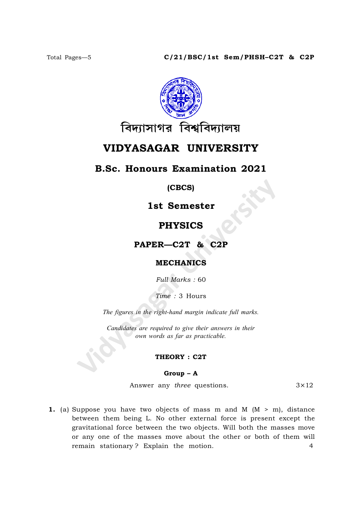

# VIDYASAGAR UNIVERSITY

## B.Sc. Honours Examination 2021

(CBCS)

1st Semester

## PHYSICS

PAPER—C2T & C2P

## MECHANICS

Full Marks : 60

Time : 3 Hours

The figures in the right-hand margin indicate full marks.

Candidates are required to give their answers in their own words as far as practicable.

### THEORY : C2T

### Group – A

Answer any *three* questions.  $3 \times 12$ 

1. (a) Suppose you have two objects of mass m and M  $(M > m)$ , distance between them being L. No other external force is present except the gravitational force between the two objects. Will both the masses move or any one of the masses move about the other or both of them will remain stationary ? Explain the motion. 4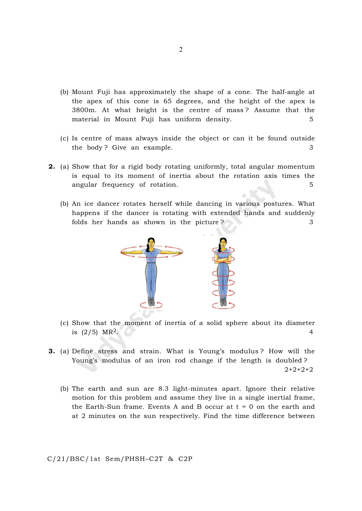- (b) Mount Fuji has approximately the shape of a cone. The half-angle at the apex of this cone is 65 degrees, and the height of the apex is 3800m. At what height is the centre of mass ? Assume that the material in Mount Fuji has uniform density. 5
- (c) Is centre of mass always inside the object or can it be found outside the body? Give an example. 3
- 2. (a) Show that for a rigid body rotating uniformly, total angular momentum is equal to its moment of inertia about the rotation axis times the angular frequency of rotation. 5
	- (b) An ice dancer rotates herself while dancing in various postures. What happens if the dancer is rotating with extended hands and suddenly folds her hands as shown in the picture ?



- (c) Show that the moment of inertia of a solid sphere about its diameter is (2/5) MR<sup>2</sup>. 4
- 3. (a) Define stress and strain. What is Young's modulus ? How will the Young's modulus of an iron rod change if the length is doubled ? 2+2+2+2
	- (b) The earth and sun are 8.3 light-minutes apart. Ignore their relative motion for this problem and assume they live in a single inertial frame, the Earth-Sun frame. Events A and B occur at  $t = 0$  on the earth and at 2 minutes on the sun respectively. Find the time difference between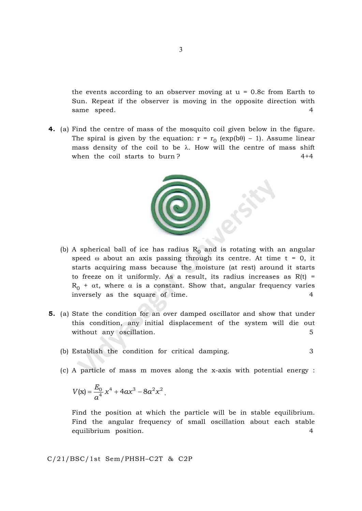the events according to an observer moving at  $u = 0.8c$  from Earth to Sun. Repeat if the observer is moving in the opposite direction with same speed. 4

4. (a) Find the centre of mass of the mosquito coil given below in the figure. The spiral is given by the equation:  $r = r_0$  (exp(b $\theta$ ) – 1). Assume linear mass density of the coil to be  $\lambda$ . How will the centre of mass shift when the coil starts to burn? 4+4



- (b) A spherical ball of ice has radius  $\rm R^{}_0$  and is rotating with an angular speed  $\omega$  about an axis passing through its centre. At time  $t = 0$ , it starts acquiring mass because the moisture (at rest) around it starts to freeze on it uniformly. As a result, its radius increases as  $R(t)$  =  $R_0$  +  $\alpha t$ , where  $\alpha$  is a constant. Show that, angular frequency varies inversely as the square of time. 4
- 5. (a) State the condition for an over damped oscillator and show that under this condition, any initial displacement of the system will die out without any oscillation. 5
	- (b) Establish the condition for critical damping. 3
	- (c) A particle of mass m moves along the x-axis with potential energy :

$$
V(x) = \frac{E_0}{a^4} x^4 + 4ax^3 - 8a^2x^2.
$$

Find the position at which the particle will be in stable equilibrium. Find the angular frequency of small oscillation about each stable equilibrium position. 4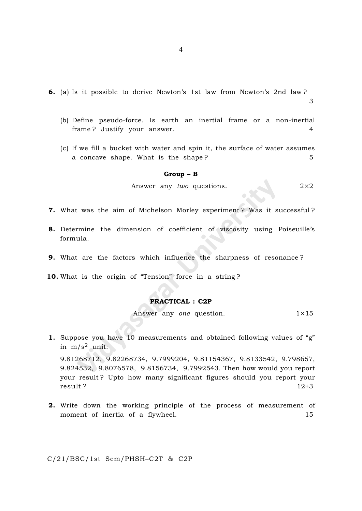- 6. (a) Is it possible to derive Newton's 1st law from Newton's 2nd law ? 3
	- (b) Define pseudo-force. Is earth an inertial frame or a non-inertial frame ? Justify your answer. 4
	- (c) If we fill a bucket with water and spin it, the surface of water assumes a concave shape. What is the shape? 5

#### Group – B

Answer any two questions.  $2 \times 2$ 

- 7. What was the aim of Michelson Morley experiment ? Was it successful ?
- 8. Determine the dimension of coefficient of viscosity using Poiseuille's formula.
- 9. What are the factors which influence the sharpness of resonance ?
- 10. What is the origin of "Tension" force in a string?

### PRACTICAL : C2P

Answer any one question.  $1 \times 15$ 

1. Suppose you have 10 measurements and obtained following values of "g" in  $m/s^2$  unit:

9.81268712, 9.82268734, 9.7999204, 9.81154367, 9.8133542, 9.798657, 9.824532, 9.8076578, 9.8156734, 9.7992543. Then how would you report your result ? Upto how many significant figures should you report your result ? 12+3

2. Write down the working principle of the process of measurement of moment of inertia of a flywheel. 15

C/21/BSC/1st Sem/PHSH–C2T & C2P